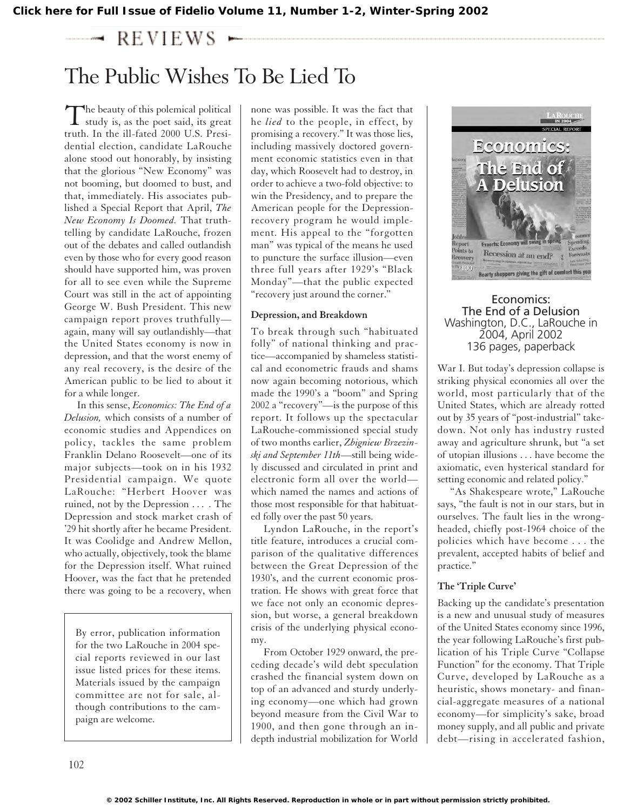**[Click here for Full Issue of Fidelio Volume 11, Number 1-2, Winter-Spring 2002](http://schillerinstitute.org/fidelio_archive/2002/fidv11n01-02-2002WiSp/index.html)**

#### $REVIEWS$

# The Public Wishes To Be Lied To

 $\sum$ he beauty of this polemical political<br>study is, as the poet said, its great truth. In the ill-fated 2000 U.S. Presidential election, candidate LaRouche alone stood out honorably, by insisting that the glorious "New Economy" was not booming, but doomed to bust, and that, immediately. His associates published a Special Report that April, *The New Economy Is Doomed.* That truthtelling by candidate LaRouche, frozen out of the debates and called outlandish even by those who for every good reason should have supported him, was proven for all to see even while the Supreme Court was still in the act of appointing George W. Bush President. This new campaign report proves truthfully again, many will say outlandishly—that the United States economy is now in depression, and that the worst enemy of any real recovery, is the desire of the American public to be lied to about it for a while longer.

In this sense, *Economics: The End of a Delusion,* which consists of a number of economic studies and Appendices on policy, tackles the same problem Franklin Delano Roosevelt—one of its major subjects—took on in his 1932 Presidential campaign. We quote LaRouche: "Herbert Hoover was ruined, not by the Depression . . . . The Depression and stock market crash of '29 hit shortly after he became President. It was Coolidge and Andrew Mellon, who actually, objectively, took the blame for the Depression itself. What ruined Hoover, was the fact that he pretended there was going to be a recovery, when

By error, publication information for the two LaRouche in 2004 special reports reviewed in our last issue listed prices for these items. Materials issued by the campaign committee are not for sale, although contributions to the campaign are welcome.

none was possible. It was the fact that he *lied* to the people, in effect, by promising a recovery." It was those lies, including massively doctored government economic statistics even in that day, which Roosevelt had to destroy, in order to achieve a two-fold objective: to win the Presidency, and to prepare the American people for the Depressionrecovery program he would implement. His appeal to the "forgotten man" was typical of the means he used to puncture the surface illusion—even three full years after 1929's "Black Monday"—that the public expected "recovery just around the corner."

## **Depression, and Breakdown**

To break through such "habituated folly" of national thinking and practice—accompanied by shameless statistical and econometric frauds and shams now again becoming notorious, which made the 1990's a "boom" and Spring 2002 a "recovery"—is the purpose of this report. It follows up the spectacular LaRouche-commissioned special study of two months earlier, *Zbigniew Brzezinski and September 11th*—still being widely discussed and circulated in print and electronic form all over the world which named the names and actions of those most responsible for that habituated folly over the past 50 years.

Lyndon LaRouche, in the report's title feature, introduces a crucial comparison of the qualitative differences between the Great Depression of the 1930's, and the current economic prostration. He shows with great force that we face not only an economic depression, but worse, a general breakdown crisis of the underlying physical economy.

From October 1929 onward, the preceding decade's wild debt speculation crashed the financial system down on top of an advanced and sturdy underlying economy—one which had grown beyond measure from the Civil War to 1900, and then gone through an indepth industrial mobilization for World



## Economics: The End of a Delusion Washington, D.C., LaRouche in 2004, April 2002 136 pages, paperback

War I. But today's depression collapse is striking physical economies all over the world, most particularly that of the United States, which are already rotted out by 35 years of "post-industrial" takedown. Not only has industry rusted away and agriculture shrunk, but "a set of utopian illusions . . . have become the axiomatic, even hysterical standard for setting economic and related policy."

"As Shakespeare wrote," LaRouche says, "the fault is not in our stars, but in ourselves. The fault lies in the wrongheaded, chiefly post-1964 choice of the policies which have become . . . the prevalent, accepted habits of belief and practice."

## **The 'Triple Curve'**

Backing up the candidate's presentation is a new and unusual study of measures of the United States economy since 1996, the year following LaRouche's first publication of his Triple Curve "Collapse Function" for the economy. That Triple Curve, developed by LaRouche as a heuristic, shows monetary- and financial-aggregate measures of a national economy—for simplicity's sake, broad money supply, and all public and private debt—rising in accelerated fashion,